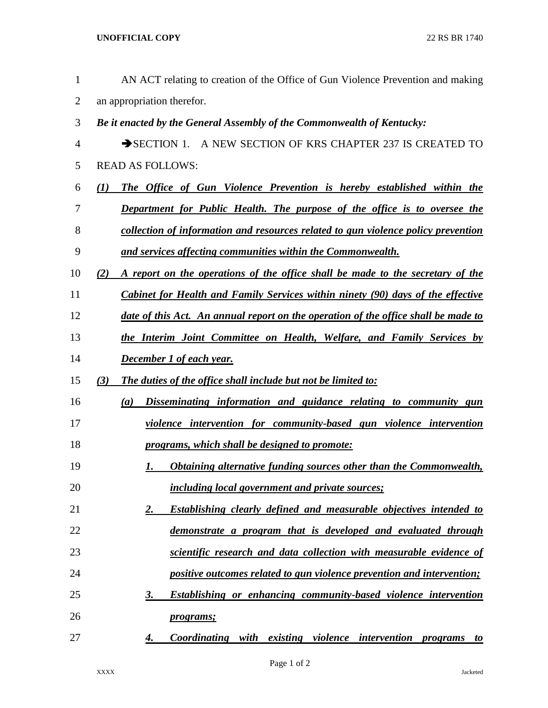| $\mathbf{1}$   | AN ACT relating to creation of the Office of Gun Violence Prevention and making            |
|----------------|--------------------------------------------------------------------------------------------|
| $\overline{2}$ | an appropriation therefor.                                                                 |
| 3              | Be it enacted by the General Assembly of the Commonwealth of Kentucky:                     |
| 4              | SECTION 1. A NEW SECTION OF KRS CHAPTER 237 IS CREATED TO                                  |
| 5              | <b>READ AS FOLLOWS:</b>                                                                    |
| 6              | The Office of Gun Violence Prevention is hereby established within the<br>$\mathcal{L}(I)$ |
| 7              | Department for Public Health. The purpose of the office is to oversee the                  |
| 8              | collection of information and resources related to gun violence policy prevention          |
| 9              | and services affecting communities within the Commonwealth.                                |
| 10             | A report on the operations of the office shall be made to the secretary of the<br>(2)      |
| 11             | <b>Cabinet for Health and Family Services within ninety (90) days of the effective</b>     |
| 12             | date of this Act. An annual report on the operation of the office shall be made to         |
| 13             | the Interim Joint Committee on Health, Welfare, and Family Services by                     |
| 14             | <b>December 1 of each year.</b>                                                            |
| 15             | The duties of the office shall include but not be limited to:<br>(3)                       |
| 16             | Disseminating information and guidance relating to community gun<br>(a)                    |
| 17             | violence intervention for community-based gun violence intervention                        |
| 18             | programs, which shall be designed to promote:                                              |
| 19             | <b>Obtaining alternative funding sources other than the Commonwealth,</b><br>1.            |
| 20             | <i>including local government and private sources;</i>                                     |
| 21             | <b>Establishing clearly defined and measurable objectives intended to</b><br>2.            |
| 22             | demonstrate a program that is developed and evaluated through                              |
| 23             | scientific research and data collection with measurable evidence of                        |
| 24             | positive outcomes related to gun violence prevention and intervention;                     |
| 25             | <b>Establishing or enhancing community-based violence intervention</b><br>3.               |
| 26             | <i>programs;</i>                                                                           |
| 27             | <b>Coordinating with existing violence intervention programs to</b><br>4.                  |